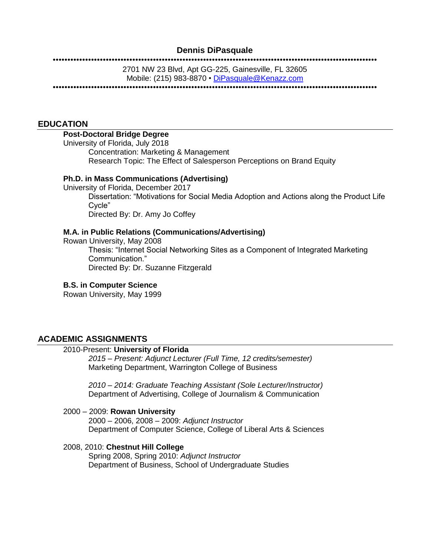### **Dennis DiPasquale**

#### ••••••••••••••••••••••••••••••••••••••••••••••••••••••••••••••••••••••••••••••••••••••••••••••••••••••••••••••

2701 NW 23 Blvd, Apt GG-225, Gainesville, FL 32605 Mobile: (215) 983-8870 • [DiPasquale@Kenazz.com](mailto:DiPasquale@Kenazz.com)

••••••••••••••••••••••••••••••••••••••••••••••••••••••••••••••••••••••••••••••••••••••••••••••••••••••••••••••

### **EDUCATION**

#### **Post-Doctoral Bridge Degree**

University of Florida, July 2018 Concentration: Marketing & Management Research Topic: The Effect of Salesperson Perceptions on Brand Equity

#### **Ph.D. in Mass Communications (Advertising)**

University of Florida, December 2017 Dissertation: "Motivations for Social Media Adoption and Actions along the Product Life Cycle" Directed By: Dr. Amy Jo Coffey

#### **M.A. in Public Relations (Communications/Advertising)**

Rowan University, May 2008 Thesis: "Internet Social Networking Sites as a Component of Integrated Marketing Communication." Directed By: Dr. Suzanne Fitzgerald

#### **B.S. in Computer Science**

Rowan University, May 1999

#### **ACADEMIC ASSIGNMENTS**

### 2010-Present: **University of Florida**

*2015 – Present: Adjunct Lecturer (Full Time, 12 credits/semester)* Marketing Department, Warrington College of Business

*2010 – 2014: Graduate Teaching Assistant (Sole Lecturer/Instructor)* Department of Advertising, College of Journalism & Communication

#### 2000 – 2009: **Rowan University** 2000 – 2006, 2008 – 2009: *Adjunct Instructor* Department of Computer Science, College of Liberal Arts & Sciences

#### 2008, 2010: **Chestnut Hill College**

Spring 2008, Spring 2010: *Adjunct Instructor* Department of Business, School of Undergraduate Studies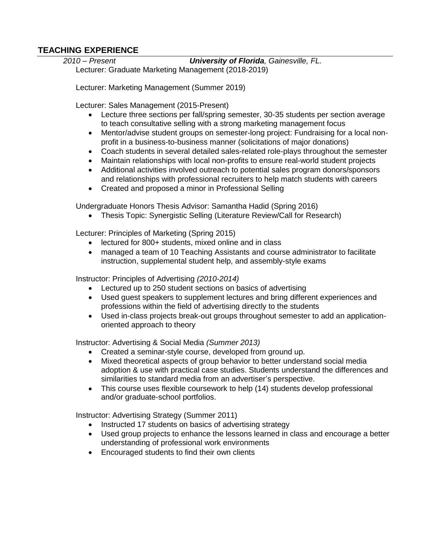## **TEACHING EXPERIENCE**

*2010 – Present University of Florida, Gainesville, FL.* 

Lecturer: Graduate Marketing Management (2018-2019)

Lecturer: Marketing Management (Summer 2019)

Lecturer: Sales Management (2015-Present)

- Lecture three sections per fall/spring semester, 30-35 students per section average to teach consultative selling with a strong marketing management focus
- Mentor/advise student groups on semester-long project: Fundraising for a local nonprofit in a business-to-business manner (solicitations of major donations)
- Coach students in several detailed sales-related role-plays throughout the semester
- Maintain relationships with local non-profits to ensure real-world student projects
- Additional activities involved outreach to potential sales program donors/sponsors and relationships with professional recruiters to help match students with careers
- Created and proposed a minor in Professional Selling

Undergraduate Honors Thesis Advisor: Samantha Hadid (Spring 2016)

• Thesis Topic: Synergistic Selling (Literature Review/Call for Research)

Lecturer: Principles of Marketing (Spring 2015)

- lectured for 800+ students, mixed online and in class
- managed a team of 10 Teaching Assistants and course administrator to facilitate instruction, supplemental student help, and assembly-style exams

Instructor: Principles of Advertising *(2010-2014)*

- Lectured up to 250 student sections on basics of advertising
- Used guest speakers to supplement lectures and bring different experiences and professions within the field of advertising directly to the students
- Used in-class projects break-out groups throughout semester to add an applicationoriented approach to theory

Instructor: Advertising & Social Media *(Summer 2013)*

- Created a seminar-style course, developed from ground up.
- Mixed theoretical aspects of group behavior to better understand social media adoption & use with practical case studies. Students understand the differences and similarities to standard media from an advertiser's perspective.
- This course uses flexible coursework to help (14) students develop professional and/or graduate-school portfolios.

Instructor: Advertising Strategy (Summer 2011)

- Instructed 17 students on basics of advertising strategy
- Used group projects to enhance the lessons learned in class and encourage a better understanding of professional work environments
- Encouraged students to find their own clients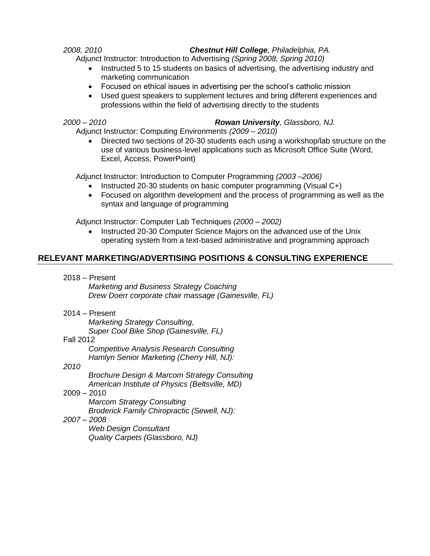## *2008, 2010 Chestnut Hill College, Philadelphia, PA.*

Adjunct Instructor: Introduction to Advertising *(Spring 2008, Spring 2010)*

- Instructed 5 to 15 students on basics of advertising, the advertising industry and marketing communication
- Focused on ethical issues in advertising per the school's catholic mission
- Used guest speakers to supplement lectures and bring different experiences and professions within the field of advertising directly to the students

## *2000 – 2010 Rowan University, Glassboro, NJ.*

Adjunct Instructor: Computing Environments *(2009 – 2010)*

 Directed two sections of 20-30 students each using a workshop/lab structure on the use of various business-level applications such as Microsoft Office Suite (Word, Excel, Access, PowerPoint)

Adjunct Instructor: Introduction to Computer Programming *(2003 –2006)*

- Instructed 20-30 students on basic computer programming (Visual C+)
- Focused on algorithm development and the process of programming as well as the syntax and language of programming

Adjunct Instructor: Computer Lab Techniques *(2000 – 2002)*

 Instructed 20-30 Computer Science Majors on the advanced use of the Unix operating system from a text-based administrative and programming approach

# **RELEVANT MARKETING/ADVERTISING POSITIONS & CONSULTING EXPERIENCE**

2018 – Present

*Marketing and Business Strategy Coaching Drew Doerr corporate chair massage (Gainesville, FL)*

2014 – Present

*Marketing Strategy Consulting, Super Cool Bike Shop (Gainesville, FL)*

## Fall 2012

*Competitive Analysis Research Consulting Hamlyn Senior Marketing (Cherry Hill, NJ):* 

## *2010*

*Brochure Design & Marcom Strategy Consulting American Institute of Physics (Beltsville, MD)*

## 2009 – 2010

*Marcom Strategy Consulting Broderick Family Chiropractic (Sewell, NJ):* 

## *2007 – 2008*

*Web Design Consultant Quality Carpets (Glassboro, NJ)*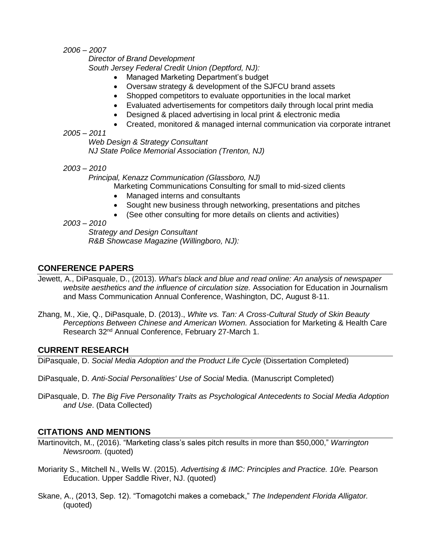*2006 – 2007*

*Director of Brand Development South Jersey Federal Credit Union (Deptford, NJ):* 

- Managed Marketing Department's budget
- Oversaw strategy & development of the SJFCU brand assets
- Shopped competitors to evaluate opportunities in the local market
- Evaluated advertisements for competitors daily through local print media
- Designed & placed advertising in local print & electronic media
- Created, monitored & managed internal communication via corporate intranet
- *2005 – 2011*

*Web Design & Strategy Consultant NJ State Police Memorial Association (Trenton, NJ)*

*2003 – 2010*

*Principal, Kenazz Communication (Glassboro, NJ)*

Marketing Communications Consulting for small to mid-sized clients

- Managed interns and consultants
- Sought new business through networking, presentations and pitches
- (See other consulting for more details on clients and activities)
- *2003 – 2010*

*Strategy and Design Consultant R&B Showcase Magazine (Willingboro, NJ):* 

## **CONFERENCE PAPERS**

- Jewett, A., DiPasquale, D., (2013). *What's black and blue and read online: An analysis of newspaper website aesthetics and the influence of circulation size.* Association for Education in Journalism and Mass Communication Annual Conference, Washington, DC, August 8-11.
- Zhang, M., Xie, Q., DiPasquale, D. (2013)., *White vs. Tan: A Cross-Cultural Study of Skin Beauty Perceptions Between Chinese and American Women.* Association for Marketing & Health Care Research 32nd Annual Conference, February 27-March 1.

## **CURRENT RESEARCH**

DiPasquale, D. *Social Media Adoption and the Product Life Cycle* (Dissertation Completed)

- DiPasquale, D. *Anti-Social Personalities' Use of Social* Media. (Manuscript Completed)
- DiPasquale, D. *The Big Five Personality Traits as Psychological Antecedents to Social Media Adoption and Use*. (Data Collected)

## **CITATIONS AND MENTIONS**

- Martinovitch, M., (2016). "Marketing class's sales pitch results in more than \$50,000," *Warrington Newsroom.* (quoted)
- Moriarity S., Mitchell N., Wells W. (2015). *Advertising & IMC: Principles and Practice. 10/e.* Pearson Education. Upper Saddle River, NJ. (quoted)
- Skane, A., (2013, Sep. 12). "Tomagotchi makes a comeback," *The Independent Florida Alligator.*  (quoted)